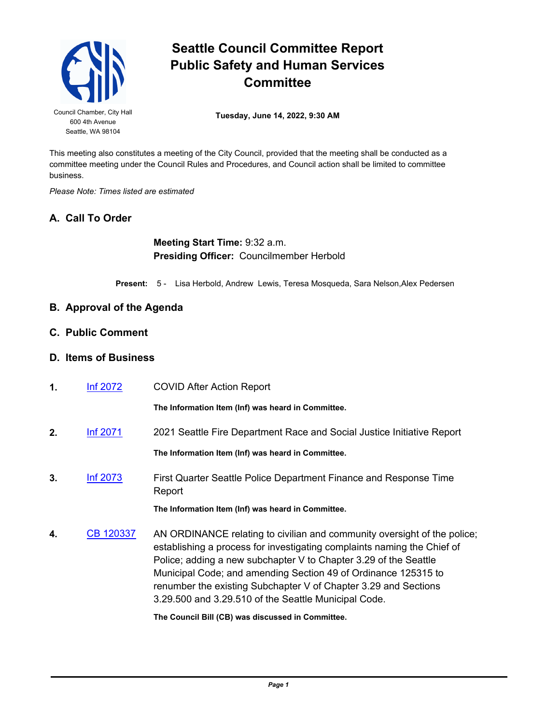

# **Seattle Council Committee Report Public Safety and Human Services Committee**

Council Chamber, City Hall **Tuesday, June 14, 2022, 9:30 AM** 

This meeting also constitutes a meeting of the City Council, provided that the meeting shall be conducted as a committee meeting under the Council Rules and Procedures, and Council action shall be limited to committee business.

*Please Note: Times listed are estimated*

## **A. Call To Order**

**Meeting Start Time:** 9:32 a.m. **Presiding Officer:** Councilmember Herbold

**Present:** 5 - Lisa Herbold, Andrew Lewis, Teresa Mosqueda, Sara Nelson,Alex Pedersen

#### **B. Approval of the Agenda**

**C. Public Comment**

#### **D. Items of Business**

**1.** [Inf 2072](http://seattle.legistar.com/gateway.aspx?m=l&id=/matter.aspx?key=13059) COVID After Action Report

**The Information Item (Inf) was heard in Committee.**

- **2.** [Inf 2071](http://seattle.legistar.com/gateway.aspx?m=l&id=/matter.aspx?key=13058) 2021 Seattle Fire Department Race and Social Justice Initiative Report **The Information Item (Inf) was heard in Committee.**
- **3.** [Inf 2073](http://seattle.legistar.com/gateway.aspx?m=l&id=/matter.aspx?key=13060) First Quarter Seattle Police Department Finance and Response Time Report

**The Information Item (Inf) was heard in Committee.**

**4.** [CB 120337](http://seattle.legistar.com/gateway.aspx?m=l&id=/matter.aspx?key=12995) AN ORDINANCE relating to civilian and community oversight of the police; establishing a process for investigating complaints naming the Chief of Police; adding a new subchapter V to Chapter 3.29 of the Seattle Municipal Code; and amending Section 49 of Ordinance 125315 to renumber the existing Subchapter V of Chapter 3.29 and Sections 3.29.500 and 3.29.510 of the Seattle Municipal Code.

**The Council Bill (CB) was discussed in Committee.**